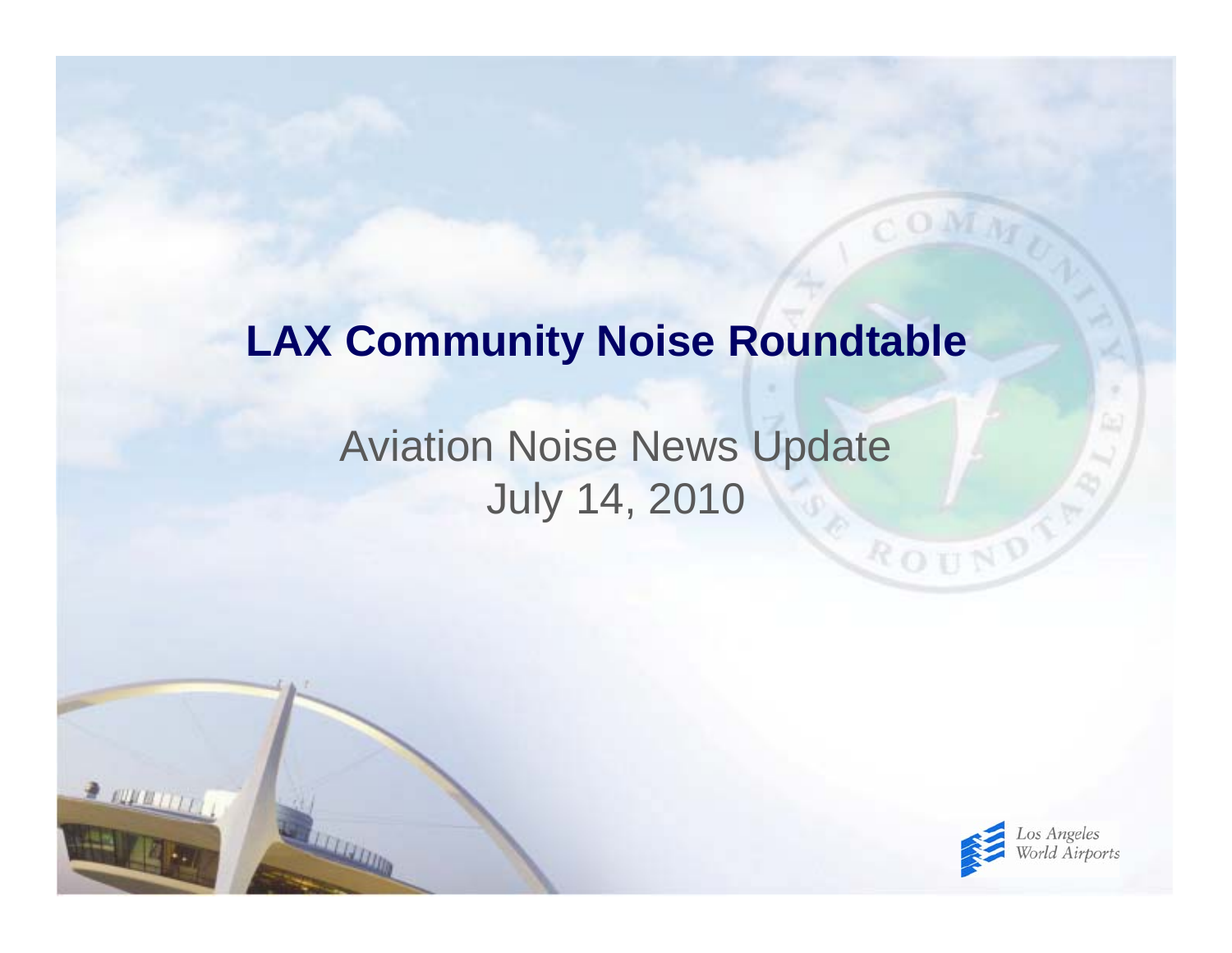#### **LAX Community Noise Roundtable**

#### Aviation Noise News Update July 14, 2010

 $2.0000000$ 



ROUND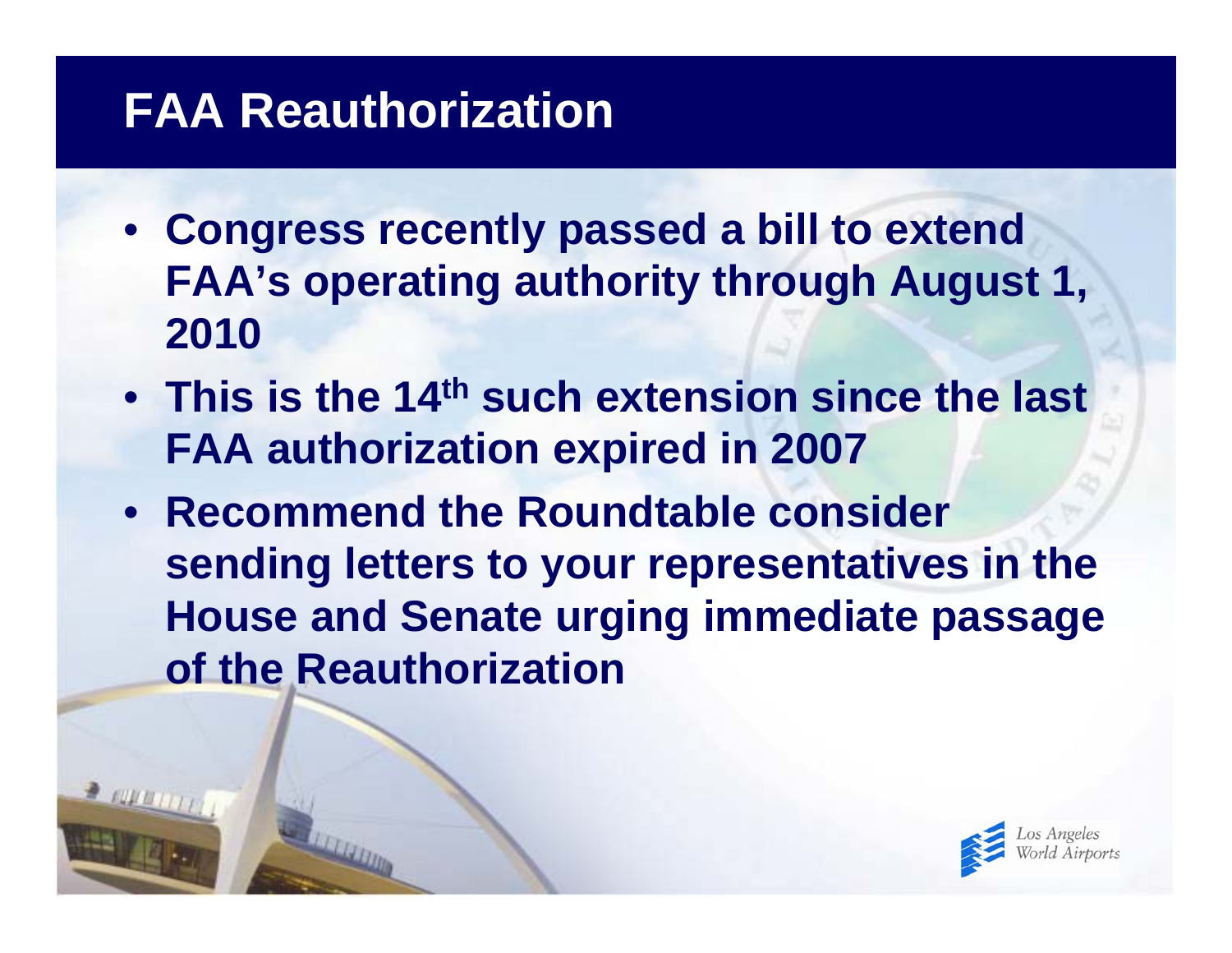## **FAA Reauthorization**

- **Congress recently passed a bill to extend FAA's operating authority through August 1, 2010**
- **This is the 14th such extension since the last FAA authorization expired in 2007**
- **Recommend the Roundtable consider sending letters to your representatives in the House and Senate urging immediate passage of the Reauthorization**

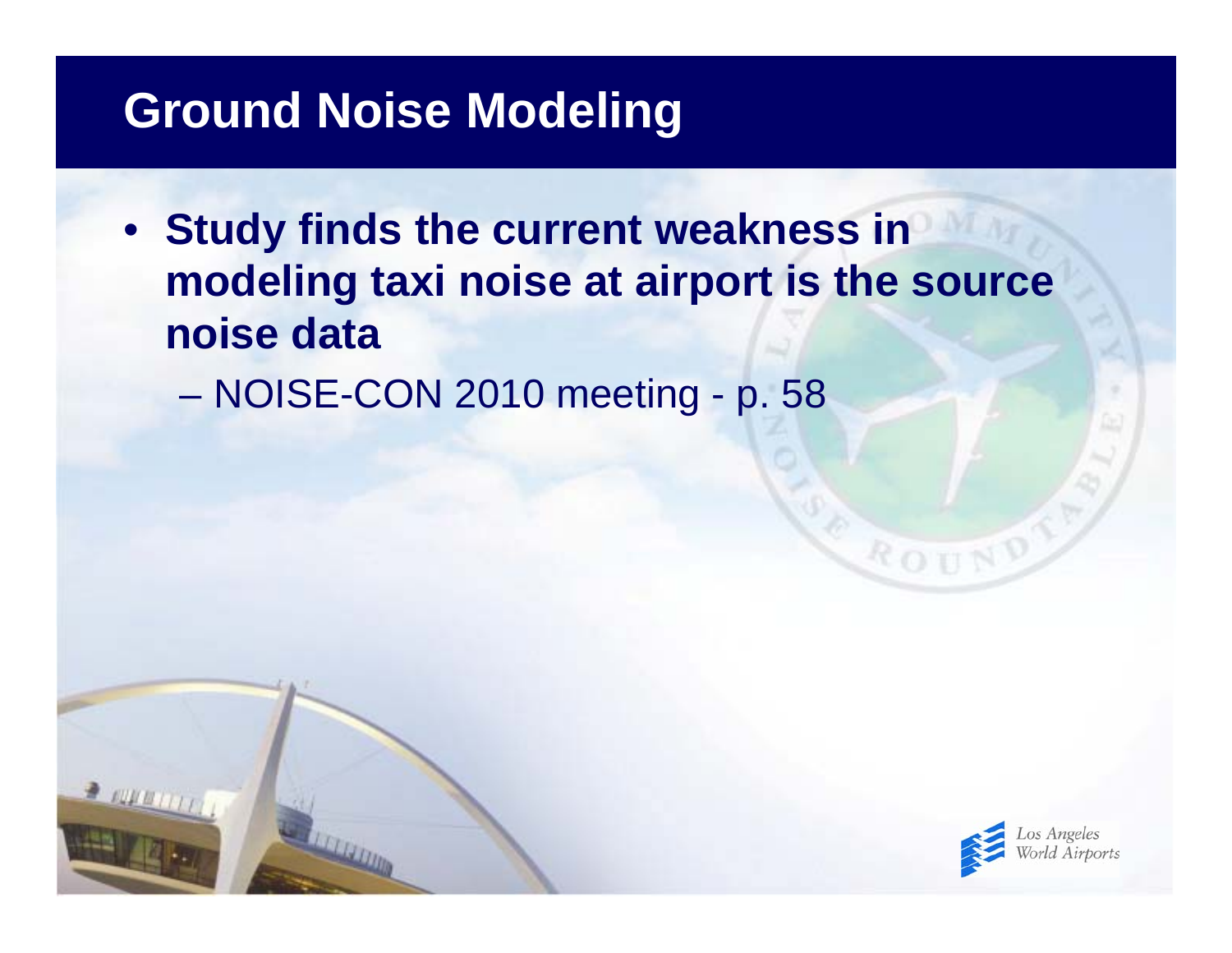#### **Ground Noise Modeling**

• **Study finds the current weakness in modeling taxi noise at airport is the source noise data**

 $\mathcal{L}_{\mathcal{A}}$  , and the set of the set of the set of the set of the set of the set of the set of the set of the set of the set of the set of the set of the set of the set of the set of the set of the set of the set of th NOISE-CON 2010 meeting - p. 58



ROUT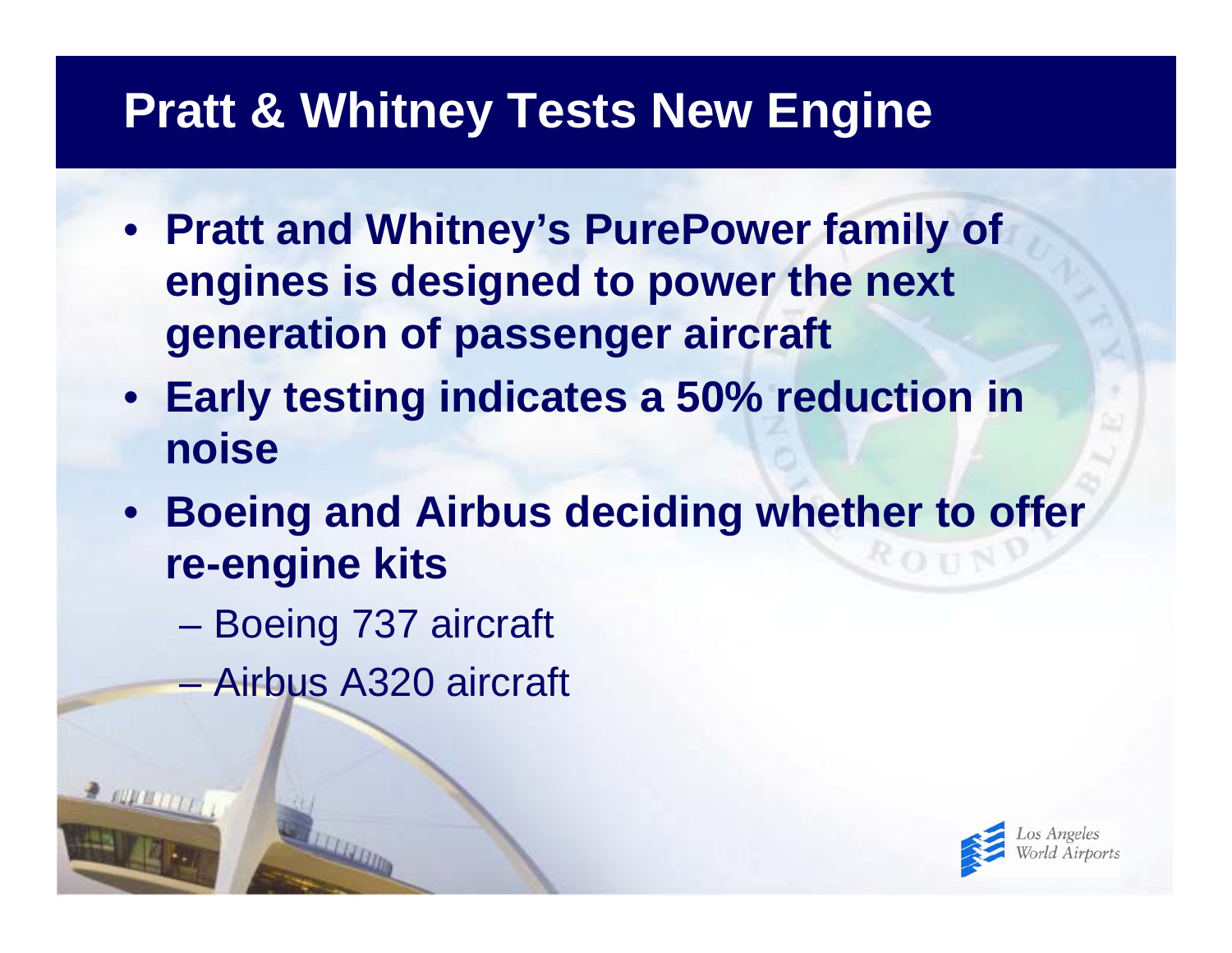### **Pratt & Whitney Tests New Engine**

- **Pratt and Whitney's PurePower family of engines is designed to power the next generation of passenger aircraft**
- **Early testing indicates a 50% reduction in noise**
- **Boeing and Airbus deciding whether to offer re-engine kits**
	- $\mathcal{L}_{\mathcal{A}}$  , and the set of the set of the set of the set of the set of the set of the set of the set of the set of the set of the set of the set of the set of the set of the set of the set of the set of the set of th Boeing 737 aircraft
	- Airbus A320 aircraft

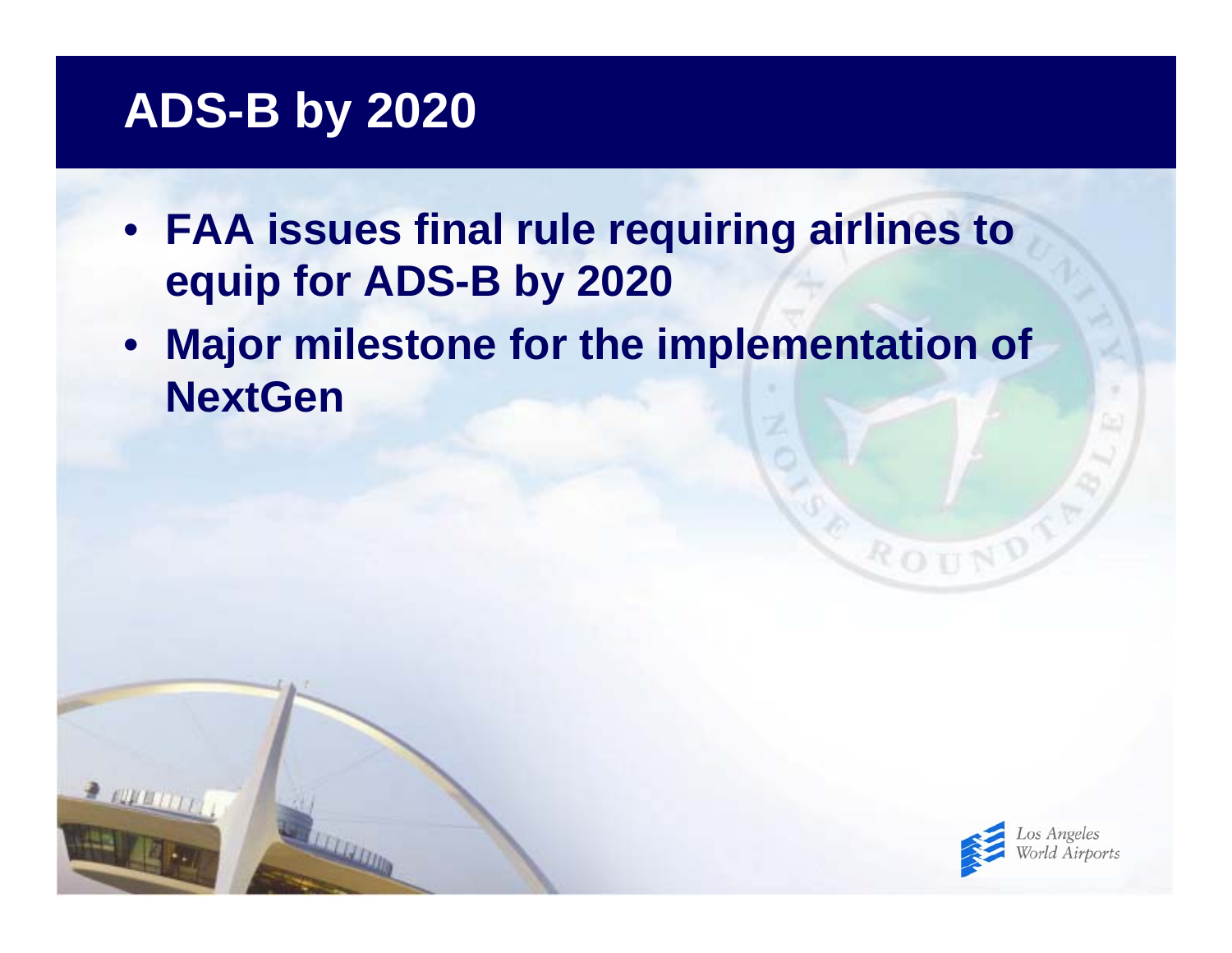## **ADS-B by 2020**

 $2.0000(1)$ 

- **FAA issues final rule requiring airlines to equip for ADS-B by 2020**
- $\bullet$  **Major milestone for the implementation of NextGen**



ROUN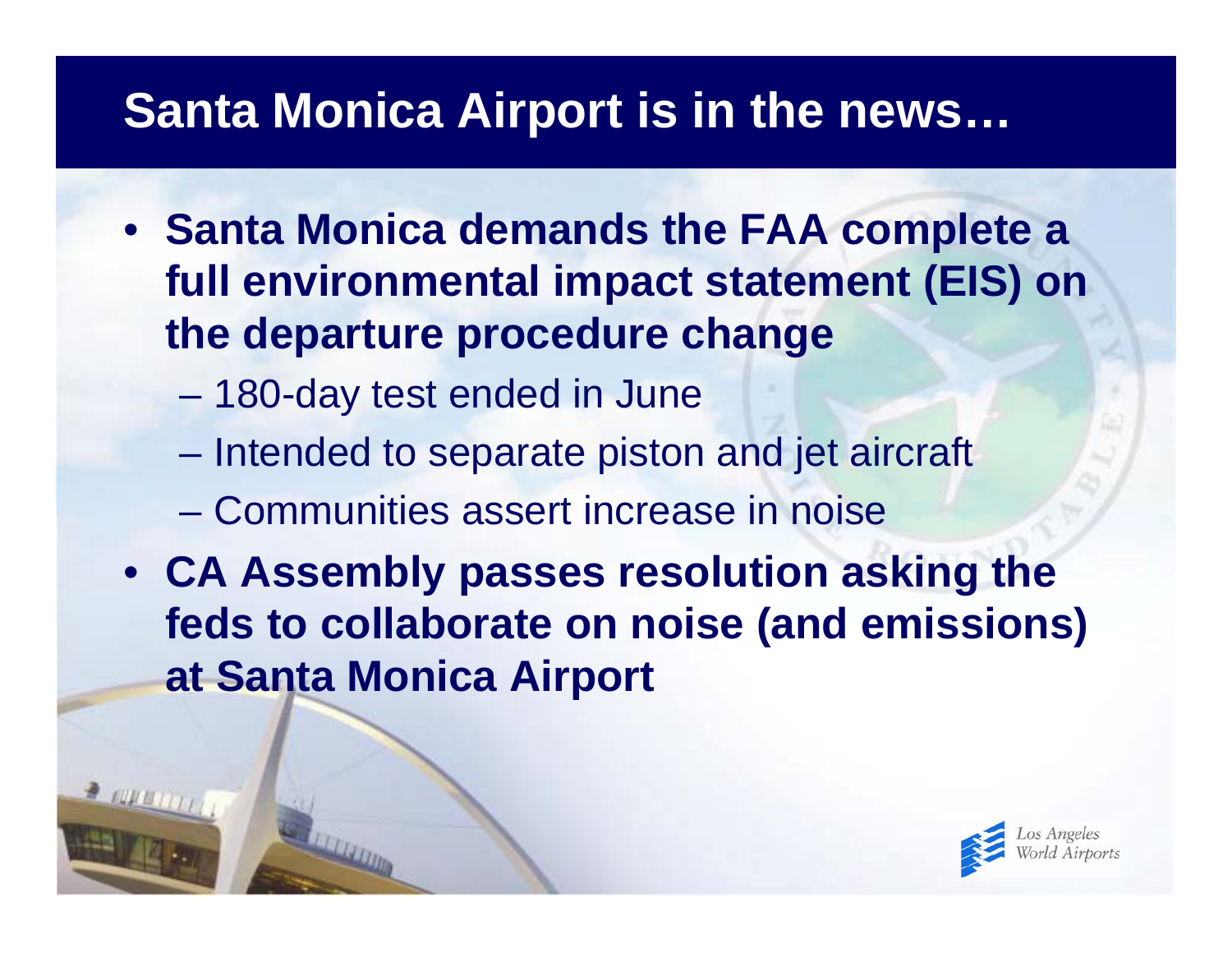## **Santa Monica Airport is in the news…**

- **Santa Monica demands the FAA complete a full environmental impact statement (EIS) on the departure procedure change**
	- $\mathcal{L}_{\mathcal{A}}$  , and the set of the set of the set of the set of the set of the set of the set of the set of the set of the set of the set of the set of the set of the set of the set of the set of the set of the set of th 180-day test ended in June
	- $\mathcal{L}_{\mathcal{A}}$  , and the set of the set of the set of the set of the set of the set of the set of the set of the set of the set of the set of the set of the set of the set of the set of the set of the set of the set of th Intended to separate piston and jet aircraft
	- Communities assert increase in noise
- **CA Assembly passes resolution asking the feds to collaborate on noise (and emissions) at Santa Monica Airport**

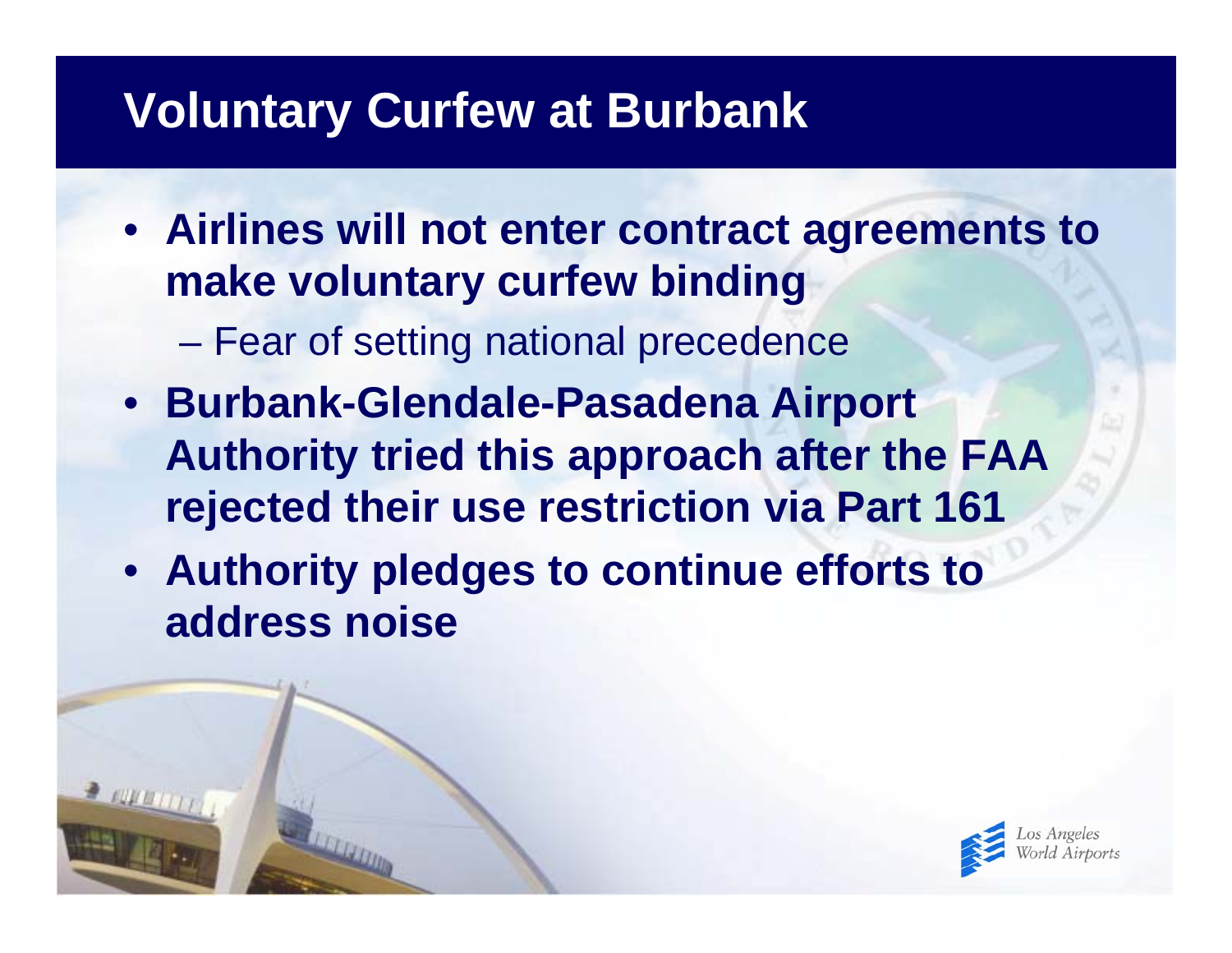## **Voluntary Curfew at Burbank**

- **Airlines will not enter contract agreements to make voluntary curfew binding**
	- $\mathcal{L}_{\mathcal{A}}$  , and the set of the set of the set of the set of the set of the set of the set of the set of the set of the set of the set of the set of the set of the set of the set of the set of the set of the set of th Fear of setting national precedence
- **Burbank-Glendale-Pasadena Airport Authority tried this approach after the FAA rejected their use restriction via Part 161**
- **Authority pledges to continue efforts to address noise**

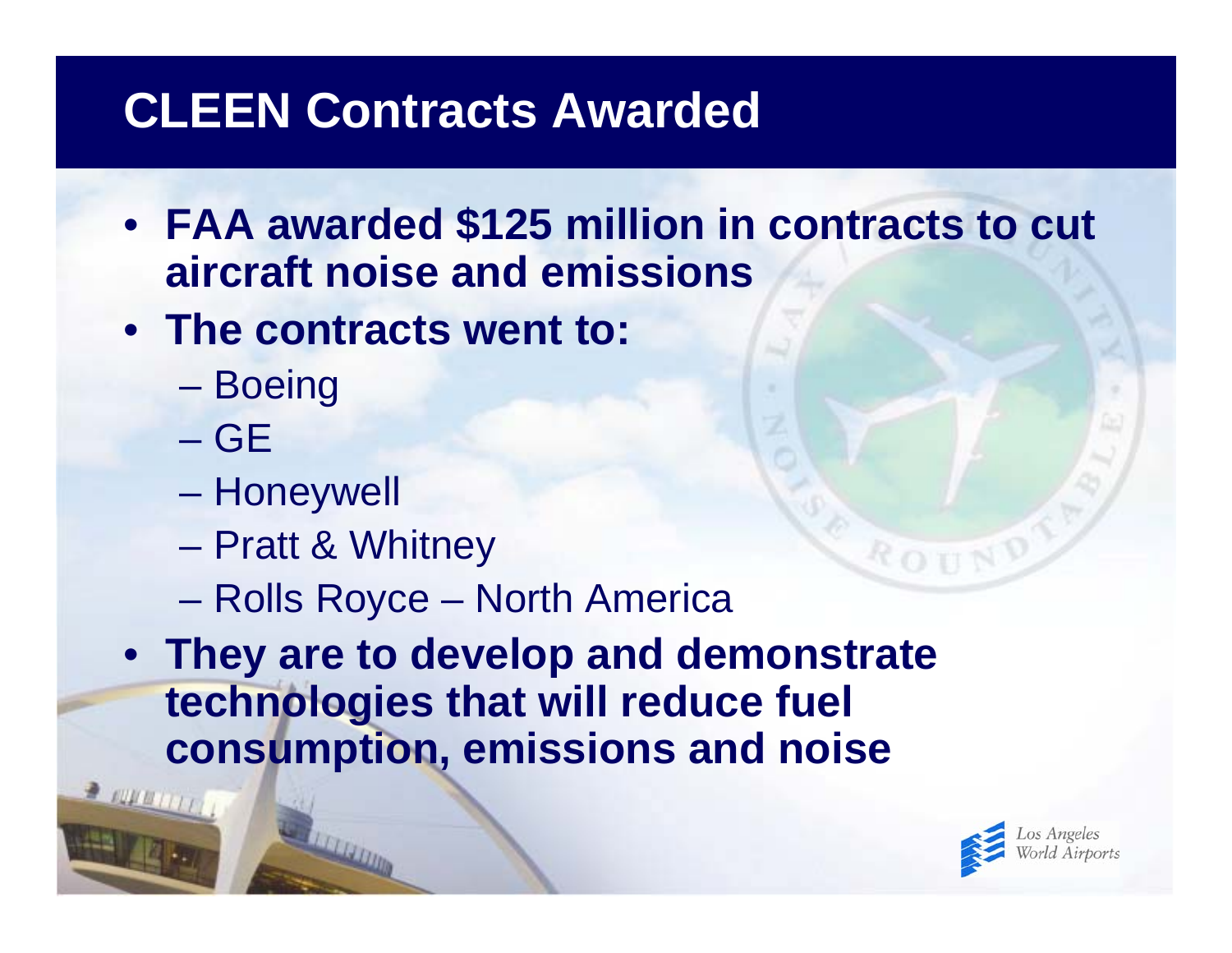# **CLEEN Contracts Awarded**

- **FAA awarded \$125 million in contracts to cut aircraft noise and emissions**
- **The contracts went to:**
	- –**Boeing**
	- GE
	- $\mathcal{L}_{\mathcal{A}}$  , and the set of the set of the set of the set of the set of the set of the set of the set of the set of the set of the set of the set of the set of the set of the set of the set of the set of the set of th Honeywell
	- $\mathcal{L}_{\mathcal{A}}$  , and the set of the set of the set of the set of the set of the set of the set of the set of the set of the set of the set of the set of the set of the set of the set of the set of the set of the set of th Pratt & Whitney
	- $\mathcal{L}_{\mathcal{A}}$  , and the set of the set of the set of the set of the set of the set of the set of the set of the set of the set of the set of the set of the set of the set of the set of the set of the set of the set of th Rolls Royce – North America

• **They are to develop and demonstrate technologies that will reduce fuel consumption, emissions and noise**



ROU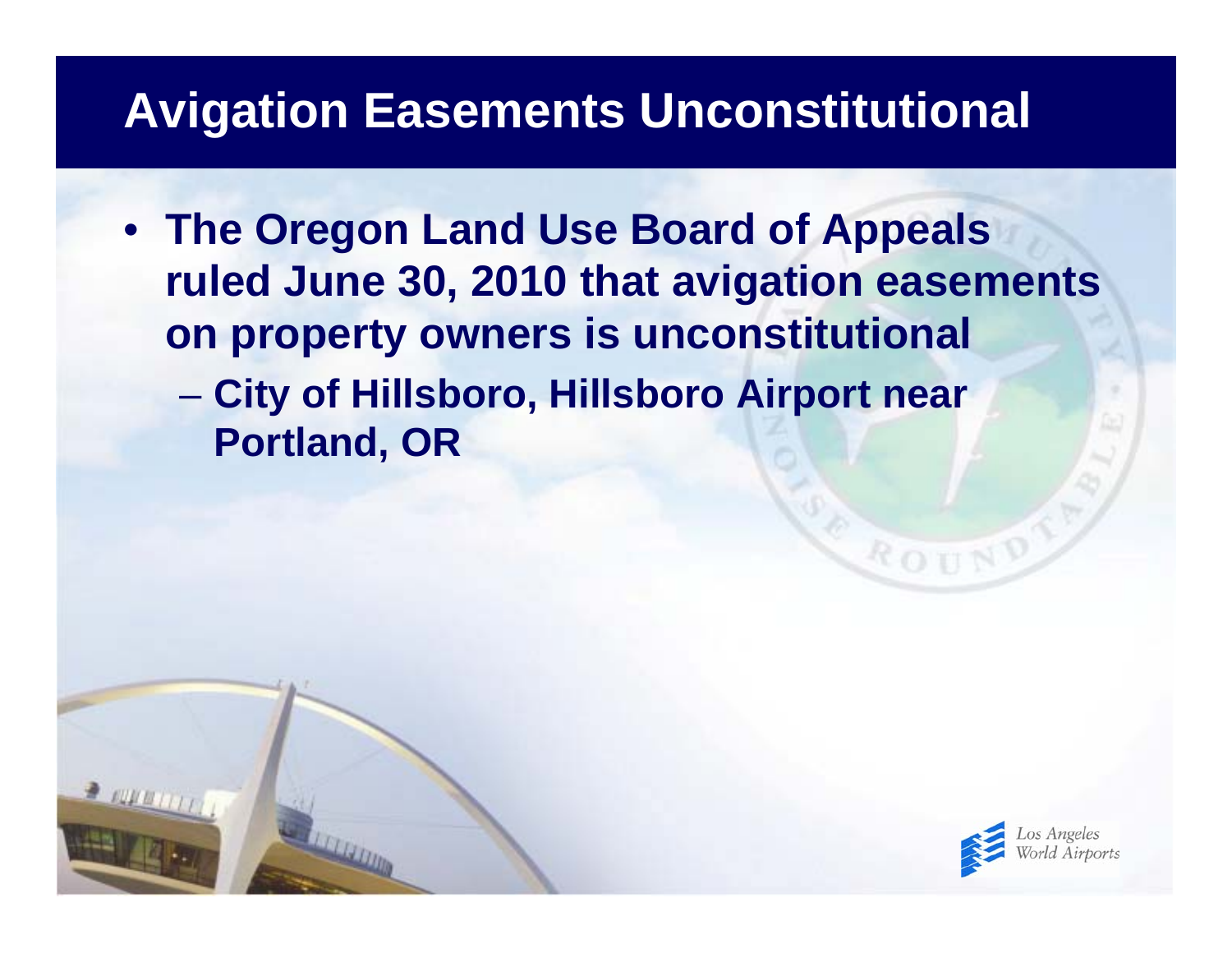## **Avigation Easements Unconstitutional**

• **The Oregon Land Use Board of Appeals ruled June 30, 2010 that avigation easements on property owners is unconstitutional**  $\mathcal{L}_{\mathcal{A}}$  , and the set of the set of the set of the set of the set of the set of the set of the set of the set of the set of the set of the set of the set of the set of the set of the set of the set of the set of th **City of Hillsboro, Hillsboro Airport near Portland, OR**



ROT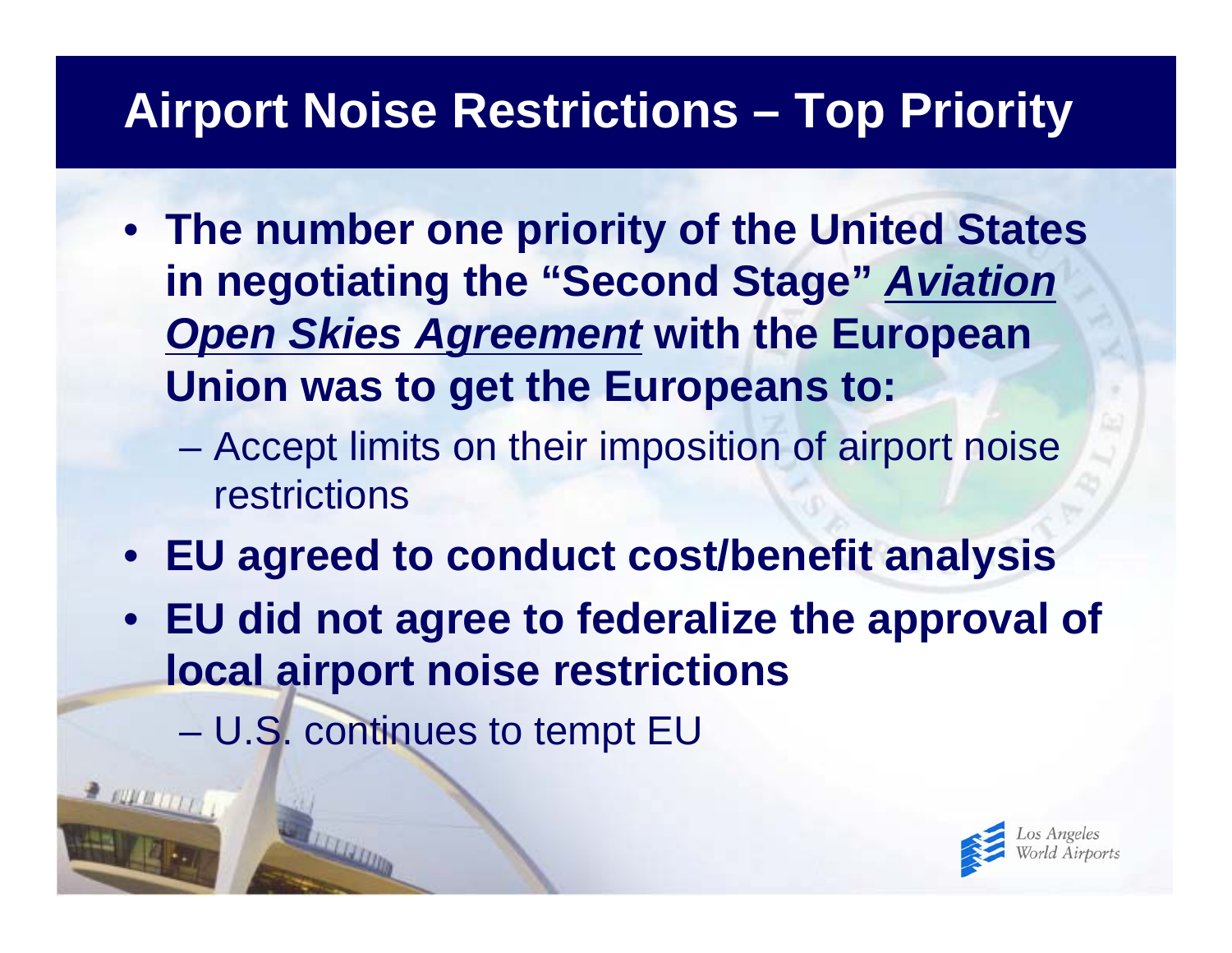# **Airport Noise Restrictions – Top Priority**

- **The number one priority of the United States in negotiating the "Second Stage"** *Aviation Open Skies Agreement* **with the European Union was to get the Europeans to:**
	- $\mathcal{L}_{\mathcal{A}}$  , and the set of the set of the set of the set of the set of the set of the set of the set of the set of the set of the set of the set of the set of the set of the set of the set of the set of the set of th Accept limits on their imposition of airport noise restrictions
- **EU agreed to conduct cost/benefit analysis**
- **EU did not agree to federalize the approval of local airport noise restrictions**
	- $\mathcal{L}_{\mathcal{A}}$  , and the set of the set of the set of the set of the set of the set of the set of the set of the set of the set of the set of the set of the set of the set of the set of the set of the set of the set of th U.S. continues to tempt EU

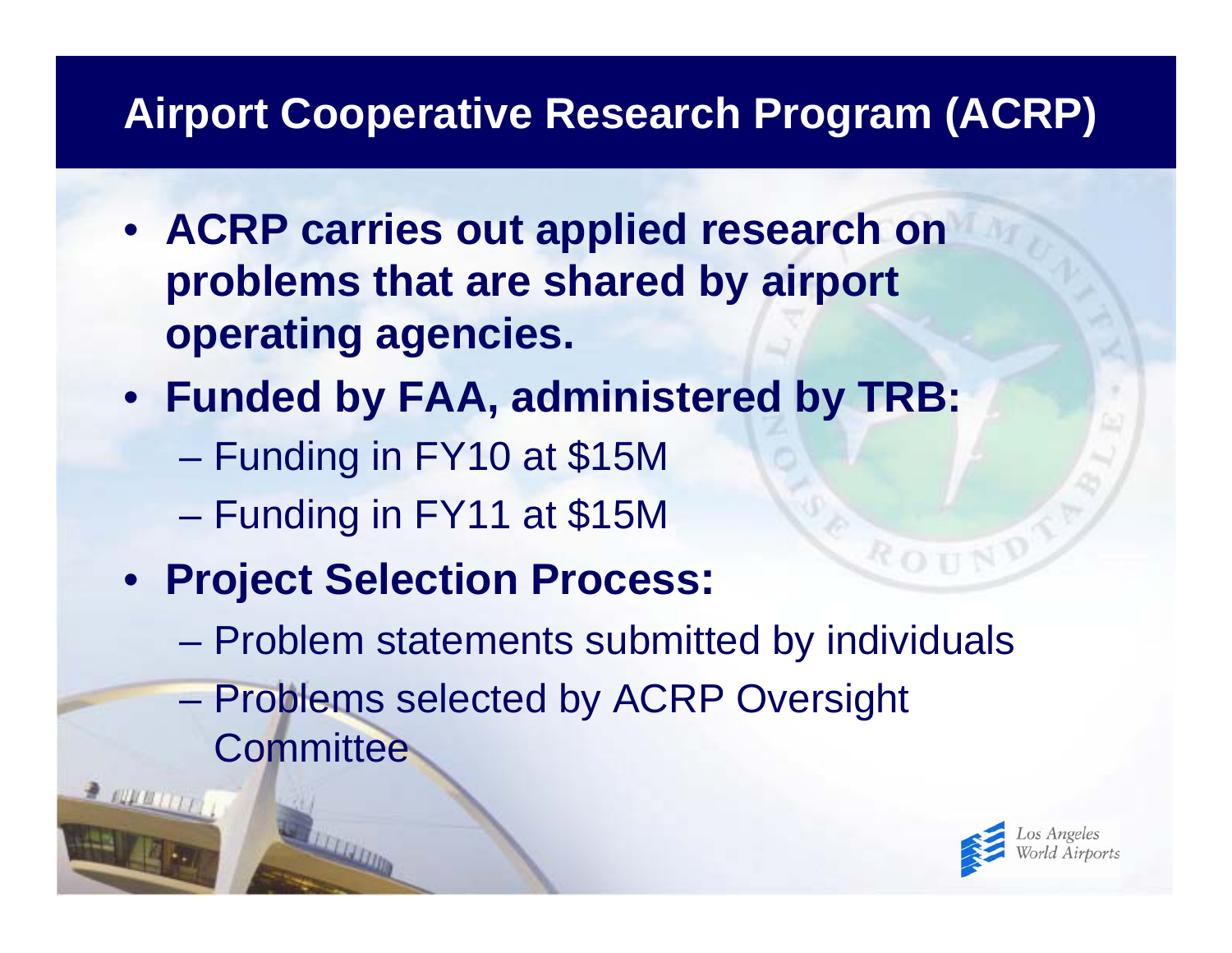#### **Airport Cooperative Research Program (ACRP)**

- **ACRP carries out applied research on problems that are shared by airport operating agencies.**
- **Funded by FAA, administered by TRB:**
	- $\mathcal{L}_{\mathcal{A}}$  , and the set of the set of the set of the set of the set of the set of the set of the set of the set of the set of the set of the set of the set of the set of the set of the set of the set of the set of th Funding in FY10 at \$15M
	- $\mathcal{L}_{\mathcal{A}}$  , and the set of the set of the set of the set of the set of the set of the set of the set of the set of the set of the set of the set of the set of the set of the set of the set of the set of the set of th Funding in FY11 at \$15M
- **Project Selection Process:**
	- $\mathcal{L}_{\mathcal{A}}$  , and the set of the set of the set of the set of the set of the set of the set of the set of the set of the set of the set of the set of the set of the set of the set of the set of the set of the set of th Problem statements submitted by individuals
	- $\mathcal{L}_{\mathcal{A}}$  , and the set of the set of the set of the set of the set of the set of the set of the set of the set of the set of the set of the set of the set of the set of the set of the set of the set of the set of th Problems selected by ACRP Oversight **Committee**

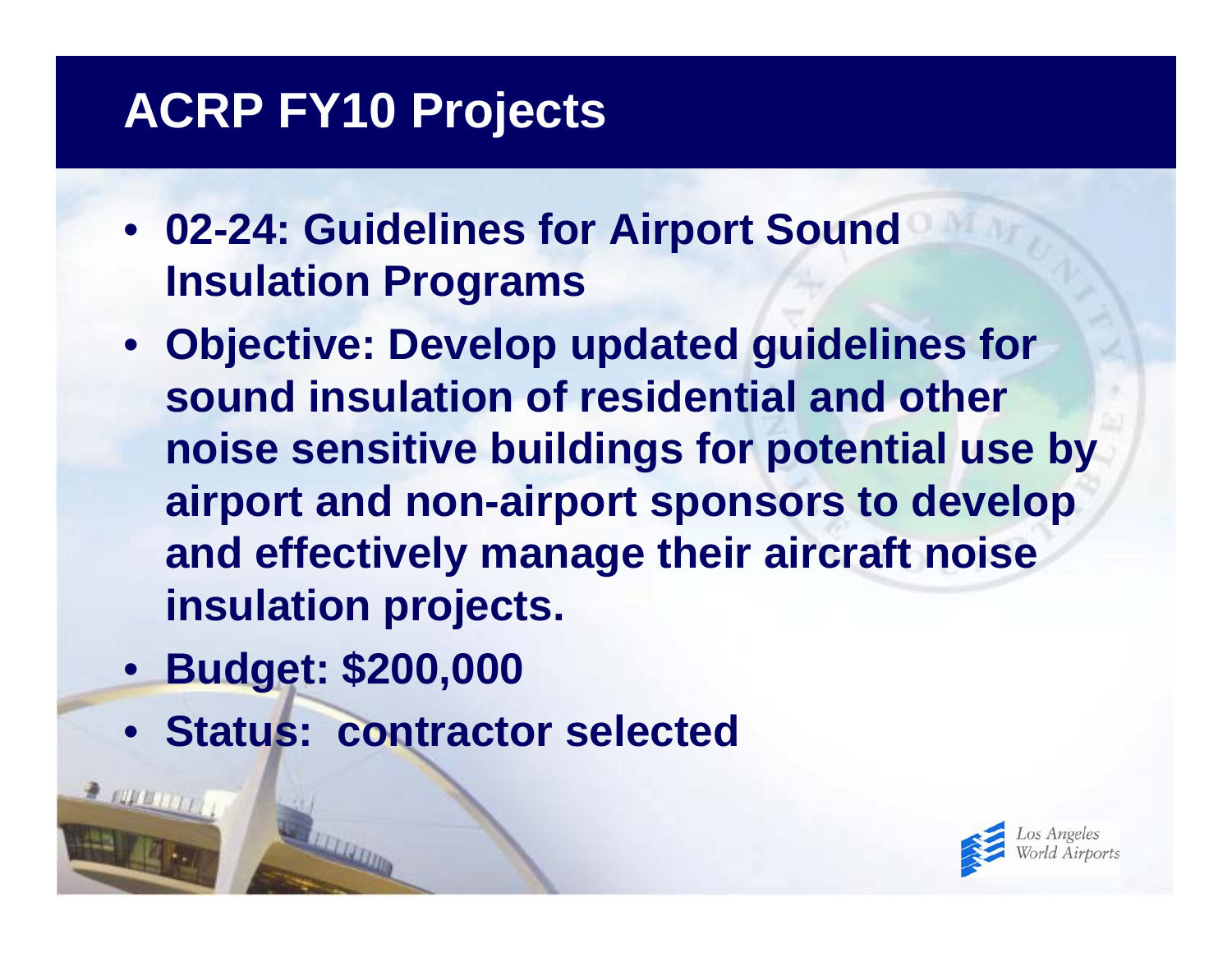# **ACRP FY10 Projects**

- **02-24: Guidelines for Airport Sound Insulation Programs**
- **Objective: Develop updated guidelines for sound insulation of residential and other noise sensitive buildings for potential use by airport and non-airport sponsors to develop and effectively manage their aircraft noise insulation projects.**
- **Budget: \$200,000**
- **Status: contractor selected**

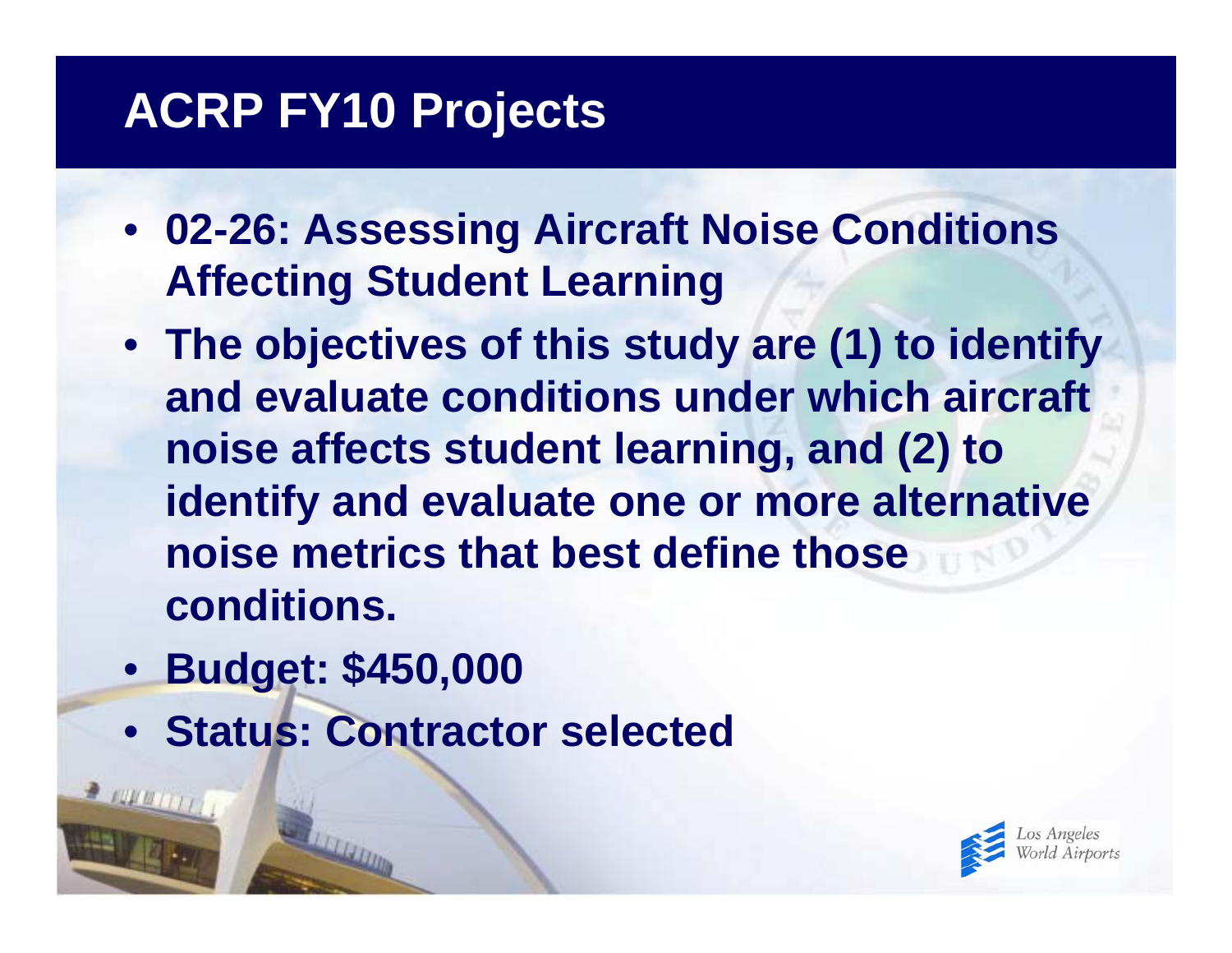# **ACRP FY10 Projects**

- **02-26: Assessing Aircraft Noise Conditions Affecting Student Learning**
- **The objectives of this study are (1) to identify and evaluate conditions under which aircraft noise affects student learning, and (2) to identify and evaluate one or more alternative noise metrics that best define those conditions.**
- **Budget: \$450,000**
- **Status: Contractor selected**

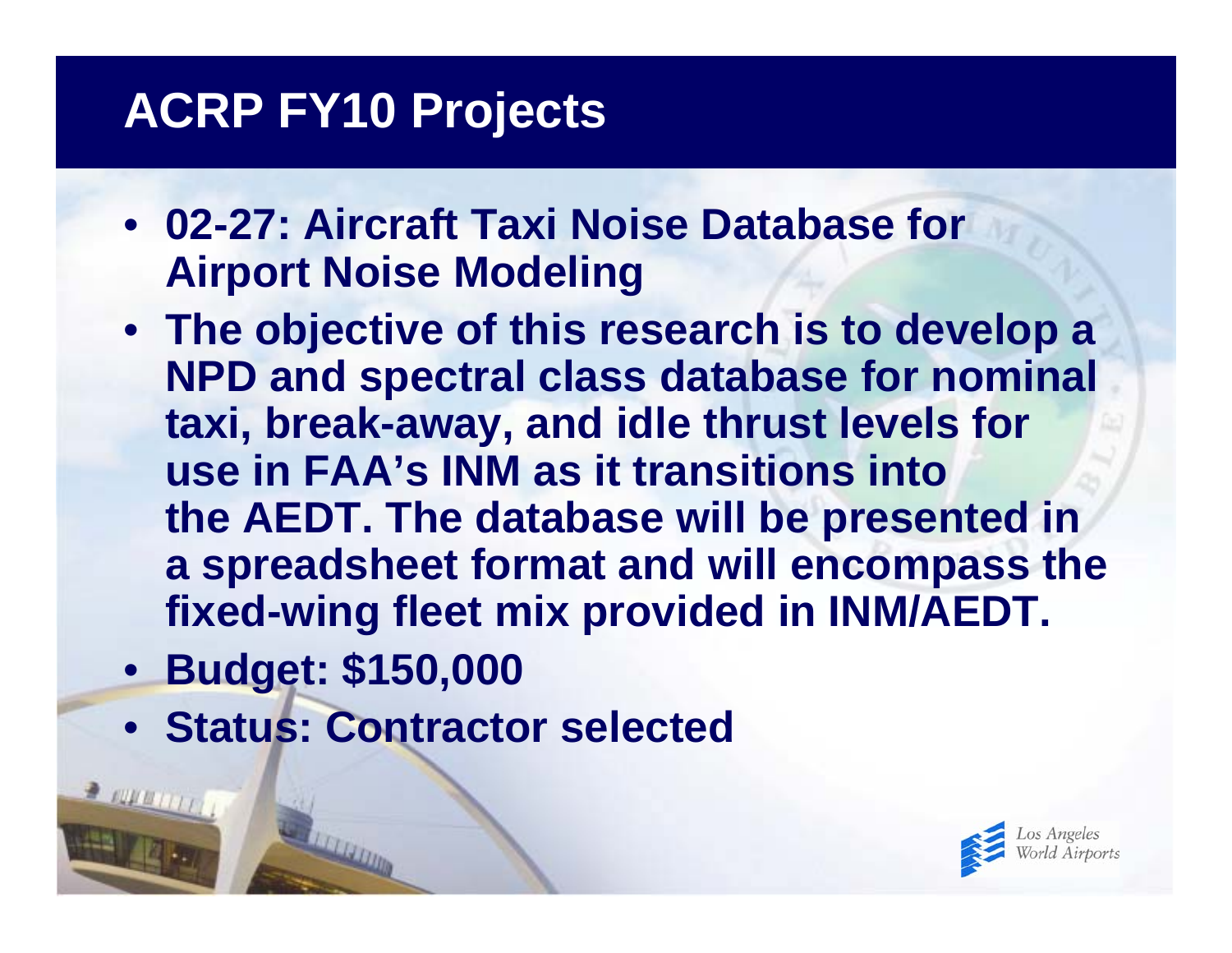# **ACRP FY10 Projects**

- **02-27: Aircraft Taxi Noise Database for Airport Noise Modeling**
- **The objective of this research is to develop a NPD and spectral class database for nominal taxi, break-away, and idle thrust levels for use in FAA's INM as it transitions into the AEDT. The database will be presented in a spreadsheet format and will encompass the fixed-wing fleet mix provided in INM/AEDT.**
- **Budget: \$150,000**
- **Status: Contractor selected**

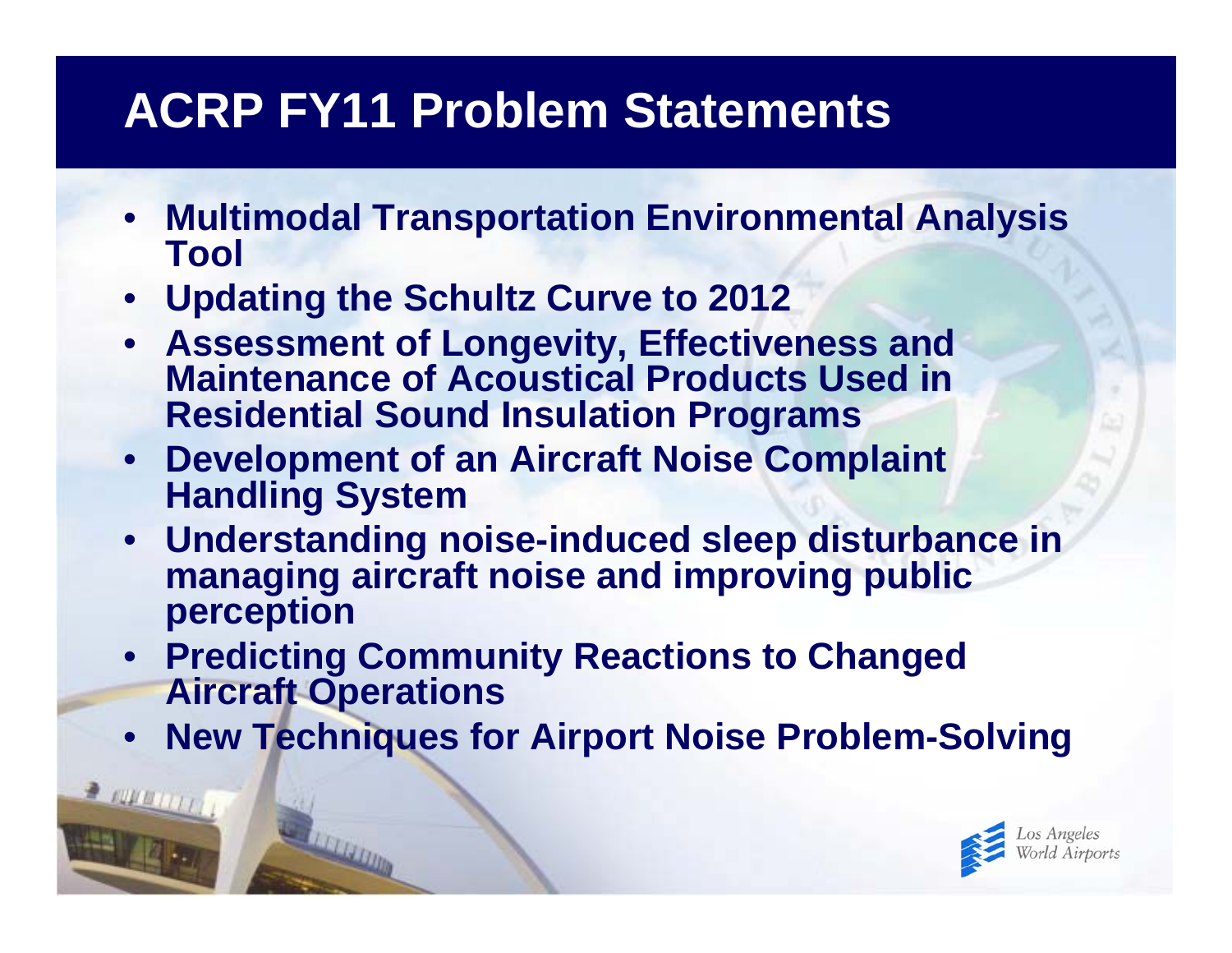# **ACRP FY11 Problem Statements**

- **Multimodal Transportation Environmental Analysis Tool**
- **Updating the Schultz Curve to 2012**

 $2.0000(1)$ 

- **Assessment of Longevity, Effectiveness and Maintenance of Acoustical Products Used in Residential Sound Insulation Programs**
- **Development of an Aircraft Noise Complaint Handling System**
- **Understanding noise-induced sleep disturbance in managing aircraft noise and improving public perception**
- **Predicting Community Reactions to Changed Aircraft Operations**
- **New Techniques for Airport Noise Problem-Solving**